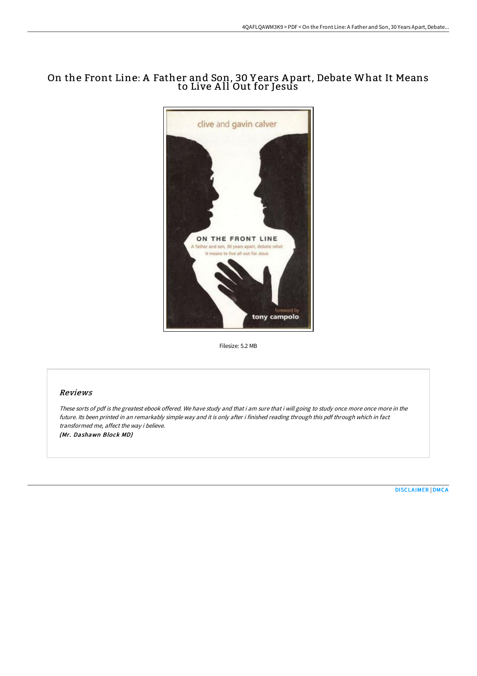# On the Front Line: A Father and Son, 30 Y ears A part, Debate What It Means to Live A ll Out for Jesus



Filesize: 5.2 MB

### Reviews

These sorts of pdf is the greatest ebook offered. We have study and that i am sure that i will going to study once more once more in the future. Its been printed in an remarkably simple way and it is only after i finished reading through this pdf through which in fact transformed me, affect the way i believe.

(Mr. Dashawn Block MD)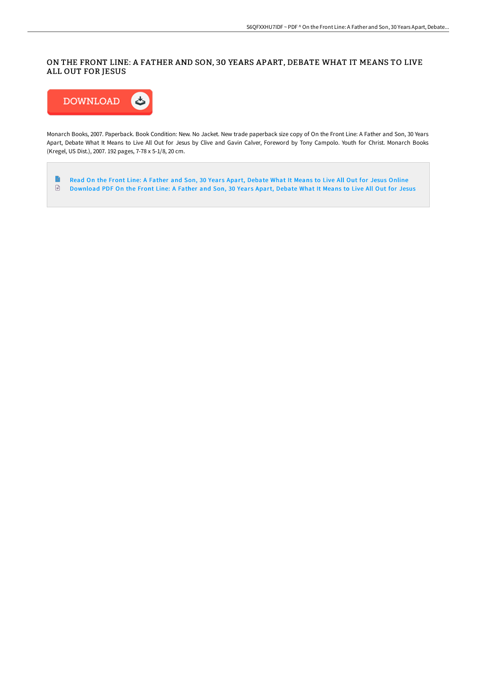## ON THE FRONT LINE: A FATHER AND SON, 30 YEARS APART, DEBATE WHAT IT MEANS TO LIVE ALL OUT FOR JESUS



Monarch Books, 2007. Paperback. Book Condition: New. No Jacket. New trade paperback size copy of On the Front Line: A Father and Son, 30 Years Apart, Debate What It Means to Live All Out for Jesus by Clive and Gavin Calver, Foreword by Tony Campolo. Youth for Christ. Monarch Books (Kregel, US Dist.), 2007. 192 pages, 7-78 x 5-1/8, 20 cm.

 $\begin{array}{c} \hline \end{array}$ Read On the Front Line: A Father and Son, 30 Years Apart, [Debate](http://techno-pub.tech/on-the-front-line-a-father-and-son-30-years-apar.html) What It Means to Live All Out for Jesus Online [Download](http://techno-pub.tech/on-the-front-line-a-father-and-son-30-years-apar.html) PDF On the Front Line: A Father and Son, 30 Years Apart, Debate What It Means to Live All Out for Jesus